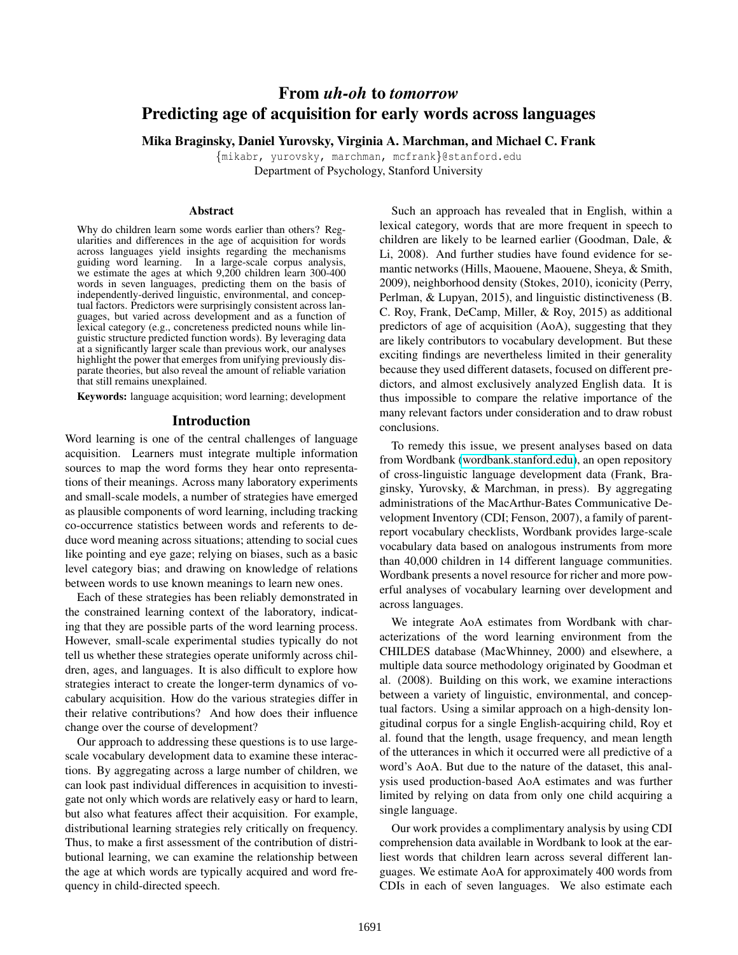# From *uh-oh* to *tomorrow* Predicting age of acquisition for early words across languages

Mika Braginsky, Daniel Yurovsky, Virginia A. Marchman, and Michael C. Frank

{mikabr, yurovsky, marchman, mcfrank}@stanford.edu Department of Psychology, Stanford University

#### Abstract

Why do children learn some words earlier than others? Regularities and differences in the age of acquisition for words across languages yield insights regarding the mechanisms guiding word learning. In a large-scale corpus analysis, In a large-scale corpus analysis, we estimate the ages at which 9,200 children learn 300-400 words in seven languages, predicting them on the basis of independently-derived linguistic, environmental, and conceptual factors. Predictors were surprisingly consistent across languages, but varied across development and as a function of lexical category (e.g., concreteness predicted nouns while linguistic structure predicted function words). By leveraging data at a significantly larger scale than previous work, our analyses highlight the power that emerges from unifying previously disparate theories, but also reveal the amount of reliable variation that still remains unexplained.

Keywords: language acquisition; word learning; development

#### Introduction

Word learning is one of the central challenges of language acquisition. Learners must integrate multiple information sources to map the word forms they hear onto representations of their meanings. Across many laboratory experiments and small-scale models, a number of strategies have emerged as plausible components of word learning, including tracking co-occurrence statistics between words and referents to deduce word meaning across situations; attending to social cues like pointing and eye gaze; relying on biases, such as a basic level category bias; and drawing on knowledge of relations between words to use known meanings to learn new ones.

Each of these strategies has been reliably demonstrated in the constrained learning context of the laboratory, indicating that they are possible parts of the word learning process. However, small-scale experimental studies typically do not tell us whether these strategies operate uniformly across children, ages, and languages. It is also difficult to explore how strategies interact to create the longer-term dynamics of vocabulary acquisition. How do the various strategies differ in their relative contributions? And how does their influence change over the course of development?

Our approach to addressing these questions is to use largescale vocabulary development data to examine these interactions. By aggregating across a large number of children, we can look past individual differences in acquisition to investigate not only which words are relatively easy or hard to learn, but also what features affect their acquisition. For example, distributional learning strategies rely critically on frequency. Thus, to make a first assessment of the contribution of distributional learning, we can examine the relationship between the age at which words are typically acquired and word frequency in child-directed speech.

Such an approach has revealed that in English, within a lexical category, words that are more frequent in speech to children are likely to be learned earlier (Goodman, Dale, & Li, 2008). And further studies have found evidence for semantic networks (Hills, Maouene, Maouene, Sheya, & Smith, 2009), neighborhood density (Stokes, 2010), iconicity (Perry, Perlman, & Lupyan, 2015), and linguistic distinctiveness (B. C. Roy, Frank, DeCamp, Miller, & Roy, 2015) as additional predictors of age of acquisition (AoA), suggesting that they are likely contributors to vocabulary development. But these exciting findings are nevertheless limited in their generality because they used different datasets, focused on different predictors, and almost exclusively analyzed English data. It is thus impossible to compare the relative importance of the many relevant factors under consideration and to draw robust conclusions.

To remedy this issue, we present analyses based on data from Wordbank [\(wordbank.stanford.edu\)](http://wordbank.stanford.edu), an open repository of cross-linguistic language development data (Frank, Braginsky, Yurovsky, & Marchman, in press). By aggregating administrations of the MacArthur-Bates Communicative Development Inventory (CDI; Fenson, 2007), a family of parentreport vocabulary checklists, Wordbank provides large-scale vocabulary data based on analogous instruments from more than 40,000 children in 14 different language communities. Wordbank presents a novel resource for richer and more powerful analyses of vocabulary learning over development and across languages.

We integrate AoA estimates from Wordbank with characterizations of the word learning environment from the CHILDES database (MacWhinney, 2000) and elsewhere, a multiple data source methodology originated by Goodman et al. (2008). Building on this work, we examine interactions between a variety of linguistic, environmental, and conceptual factors. Using a similar approach on a high-density longitudinal corpus for a single English-acquiring child, Roy et al. found that the length, usage frequency, and mean length of the utterances in which it occurred were all predictive of a word's AoA. But due to the nature of the dataset, this analysis used production-based AoA estimates and was further limited by relying on data from only one child acquiring a single language.

Our work provides a complimentary analysis by using CDI comprehension data available in Wordbank to look at the earliest words that children learn across several different languages. We estimate AoA for approximately 400 words from CDIs in each of seven languages. We also estimate each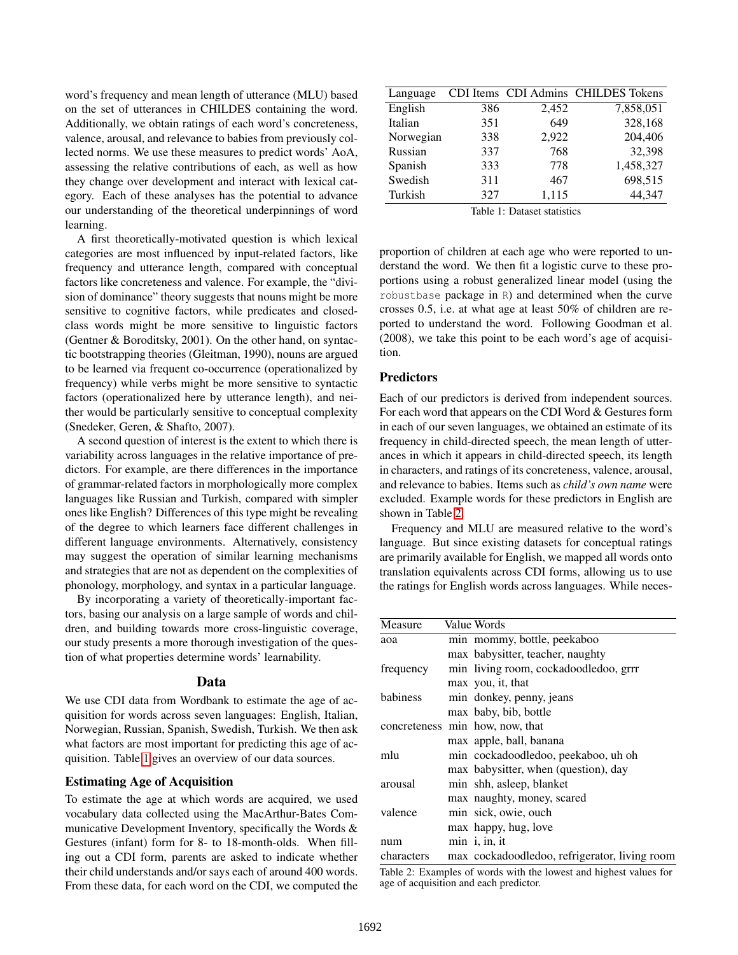word's frequency and mean length of utterance (MLU) based on the set of utterances in CHILDES containing the word. Additionally, we obtain ratings of each word's concreteness, valence, arousal, and relevance to babies from previously collected norms. We use these measures to predict words' AoA, assessing the relative contributions of each, as well as how they change over development and interact with lexical category. Each of these analyses has the potential to advance our understanding of the theoretical underpinnings of word learning.

A first theoretically-motivated question is which lexical categories are most influenced by input-related factors, like frequency and utterance length, compared with conceptual factors like concreteness and valence. For example, the "division of dominance" theory suggests that nouns might be more sensitive to cognitive factors, while predicates and closedclass words might be more sensitive to linguistic factors (Gentner & Boroditsky, 2001). On the other hand, on syntactic bootstrapping theories (Gleitman, 1990), nouns are argued to be learned via frequent co-occurrence (operationalized by frequency) while verbs might be more sensitive to syntactic factors (operationalized here by utterance length), and neither would be particularly sensitive to conceptual complexity (Snedeker, Geren, & Shafto, 2007).

A second question of interest is the extent to which there is variability across languages in the relative importance of predictors. For example, are there differences in the importance of grammar-related factors in morphologically more complex languages like Russian and Turkish, compared with simpler ones like English? Differences of this type might be revealing of the degree to which learners face different challenges in different language environments. Alternatively, consistency may suggest the operation of similar learning mechanisms and strategies that are not as dependent on the complexities of phonology, morphology, and syntax in a particular language.

By incorporating a variety of theoretically-important factors, basing our analysis on a large sample of words and children, and building towards more cross-linguistic coverage, our study presents a more thorough investigation of the question of what properties determine words' learnability.

#### Data

We use CDI data from Wordbank to estimate the age of acquisition for words across seven languages: English, Italian, Norwegian, Russian, Spanish, Swedish, Turkish. We then ask what factors are most important for predicting this age of acquisition. Table [1](#page-1-0) gives an overview of our data sources.

#### Estimating Age of Acquisition

To estimate the age at which words are acquired, we used vocabulary data collected using the MacArthur-Bates Communicative Development Inventory, specifically the Words & Gestures (infant) form for 8- to 18-month-olds. When filling out a CDI form, parents are asked to indicate whether their child understands and/or says each of around 400 words. From these data, for each word on the CDI, we computed the

<span id="page-1-0"></span>

| Language  |     |       | CDI Items CDI Admins CHILDES Tokens |
|-----------|-----|-------|-------------------------------------|
| English   | 386 | 2,452 | 7,858,051                           |
| Italian   | 351 | 649   | 328,168                             |
| Norwegian | 338 | 2,922 | 204,406                             |
| Russian   | 337 | 768   | 32,398                              |
| Spanish   | 333 | 778   | 1,458,327                           |
| Swedish   | 311 | 467   | 698,515                             |
| Turkish   | 327 | 1,115 | 44,347                              |

Table 1: Dataset statistics

proportion of children at each age who were reported to understand the word. We then fit a logistic curve to these proportions using a robust generalized linear model (using the robustbase package in R) and determined when the curve crosses 0.5, i.e. at what age at least 50% of children are reported to understand the word. Following Goodman et al. (2008), we take this point to be each word's age of acquisition.

# **Predictors**

Each of our predictors is derived from independent sources. For each word that appears on the CDI Word & Gestures form in each of our seven languages, we obtained an estimate of its frequency in child-directed speech, the mean length of utterances in which it appears in child-directed speech, its length in characters, and ratings of its concreteness, valence, arousal, and relevance to babies. Items such as *child's own name* were excluded. Example words for these predictors in English are shown in Table [2.](#page-1-1)

Frequency and MLU are measured relative to the word's language. But since existing datasets for conceptual ratings are primarily available for English, we mapped all words onto translation equivalents across CDI forms, allowing us to use the ratings for English words across languages. While neces-

<span id="page-1-1"></span>

| Measure    | Value Words                                   |  |
|------------|-----------------------------------------------|--|
| aoa        | min mommy, bottle, peekaboo                   |  |
|            | max babysitter, teacher, naughty              |  |
| frequency  | min living room, cockadoodledoo, grrr         |  |
|            | max you, it, that                             |  |
| babiness   | min donkey, penny, jeans                      |  |
|            | max baby, bib, bottle                         |  |
|            | concreteness min how, now, that               |  |
|            | max apple, ball, banana                       |  |
| mlu        | min cockadoodledoo, peekaboo, uh oh           |  |
|            | max babysitter, when (question), day          |  |
| arousal    | min shh, asleep, blanket                      |  |
|            | max naughty, money, scared                    |  |
| valence    | min sick, owie, ouch                          |  |
|            | max happy, hug, love                          |  |
| num        | $min$ i, in, it                               |  |
| characters | max cockadoodledoo, refrigerator, living room |  |

Table 2: Examples of words with the lowest and highest values for age of acquisition and each predictor.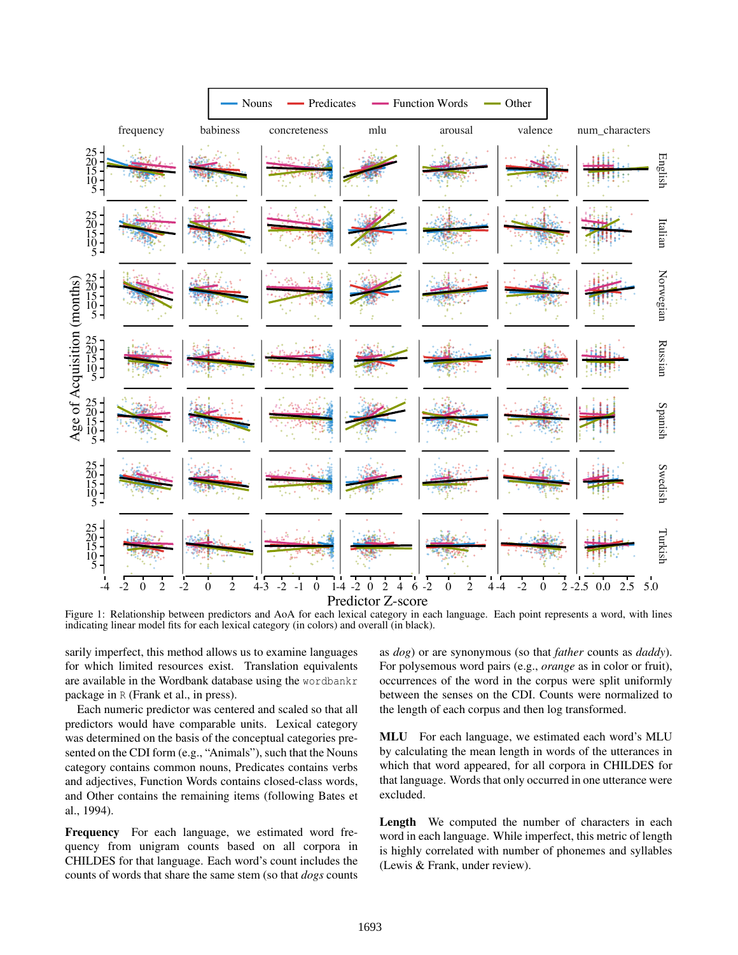<span id="page-2-0"></span>

Figure 1: Relationship between predictors and AoA for each lexical category in each language. Each point represents a word, with lines indicating linear model fits for each lexical category (in colors) and overall (in black).

sarily imperfect, this method allows us to examine languages for which limited resources exist. Translation equivalents are available in the Wordbank database using the wordbankr package in R (Frank et al., in press).

Each numeric predictor was centered and scaled so that all predictors would have comparable units. Lexical category was determined on the basis of the conceptual categories presented on the CDI form (e.g., "Animals"), such that the Nouns category contains common nouns, Predicates contains verbs and adjectives, Function Words contains closed-class words, and Other contains the remaining items (following Bates et al., 1994).

Frequency For each language, we estimated word frequency from unigram counts based on all corpora in CHILDES for that language. Each word's count includes the counts of words that share the same stem (so that *dogs* counts as *dog*) or are synonymous (so that *father* counts as *daddy*). For polysemous word pairs (e.g., *orange* as in color or fruit), occurrences of the word in the corpus were split uniformly between the senses on the CDI. Counts were normalized to the length of each corpus and then log transformed.

MLU For each language, we estimated each word's MLU by calculating the mean length in words of the utterances in which that word appeared, for all corpora in CHILDES for that language. Words that only occurred in one utterance were excluded.

Length We computed the number of characters in each word in each language. While imperfect, this metric of length is highly correlated with number of phonemes and syllables (Lewis & Frank, under review).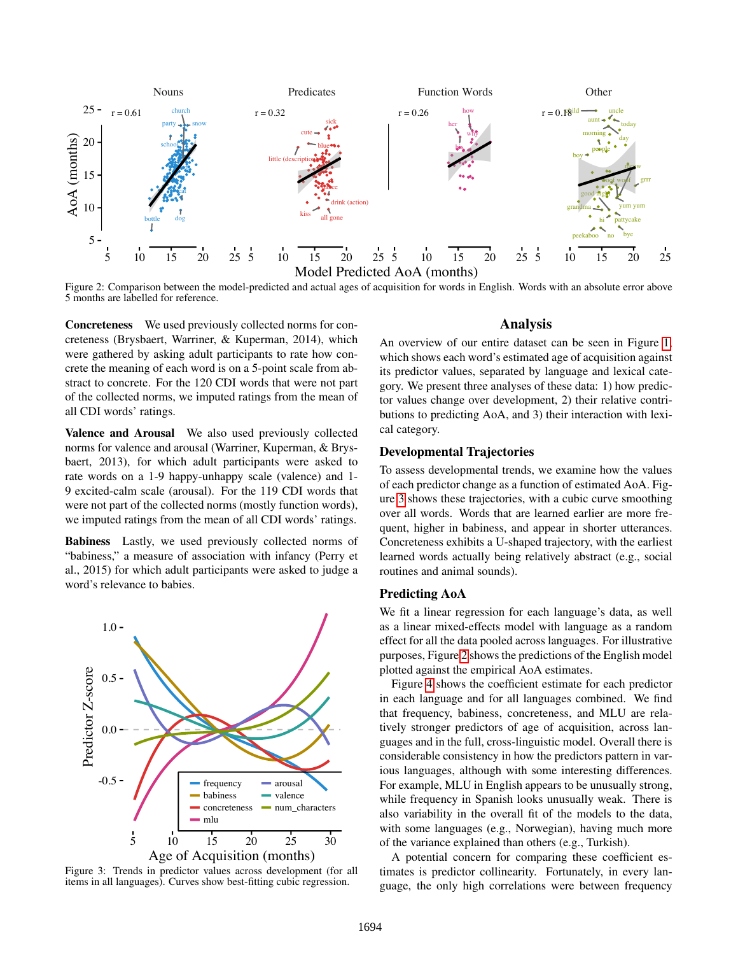<span id="page-3-1"></span>

Figure 2: Comparison between the model-predicted and actual ages of acquisition for words in English. Words with an absolute error above 5 months are labelled for reference.

Concreteness We used previously collected norms for concreteness (Brysbaert, Warriner, & Kuperman, 2014), which were gathered by asking adult participants to rate how concrete the meaning of each word is on a 5-point scale from abstract to concrete. For the 120 CDI words that were not part of the collected norms, we imputed ratings from the mean of all CDI words' ratings.

Valence and Arousal We also used previously collected norms for valence and arousal (Warriner, Kuperman, & Brysbaert, 2013), for which adult participants were asked to rate words on a 1-9 happy-unhappy scale (valence) and 1- 9 excited-calm scale (arousal). For the 119 CDI words that were not part of the collected norms (mostly function words), we imputed ratings from the mean of all CDI words' ratings.

Babiness Lastly, we used previously collected norms of "babiness," a measure of association with infancy (Perry et al., 2015) for which adult participants were asked to judge a word's relevance to babies.

<span id="page-3-0"></span>

Figure 3: Trends in predictor values across development (for all items in all languages). Curves show best-fitting cubic regression.

## Analysis

An overview of our entire dataset can be seen in Figure [1,](#page-2-0) which shows each word's estimated age of acquisition against its predictor values, separated by language and lexical category. We present three analyses of these data: 1) how predictor values change over development, 2) their relative contributions to predicting AoA, and 3) their interaction with lexical category.

### Developmental Trajectories

To assess developmental trends, we examine how the values of each predictor change as a function of estimated AoA. Figure [3](#page-3-0) shows these trajectories, with a cubic curve smoothing over all words. Words that are learned earlier are more frequent, higher in babiness, and appear in shorter utterances. Concreteness exhibits a U-shaped trajectory, with the earliest learned words actually being relatively abstract (e.g., social routines and animal sounds).

### Predicting AoA

We fit a linear regression for each language's data, as well as a linear mixed-effects model with language as a random effect for all the data pooled across languages. For illustrative purposes, Figure [2](#page-3-1) shows the predictions of the English model plotted against the empirical AoA estimates.

Figure [4](#page-4-0) shows the coefficient estimate for each predictor in each language and for all languages combined. We find that frequency, babiness, concreteness, and MLU are relatively stronger predictors of age of acquisition, across languages and in the full, cross-linguistic model. Overall there is considerable consistency in how the predictors pattern in various languages, although with some interesting differences. For example, MLU in English appears to be unusually strong, while frequency in Spanish looks unusually weak. There is also variability in the overall fit of the models to the data, with some languages (e.g., Norwegian), having much more of the variance explained than others (e.g., Turkish).

A potential concern for comparing these coefficient estimates is predictor collinearity. Fortunately, in every language, the only high correlations were between frequency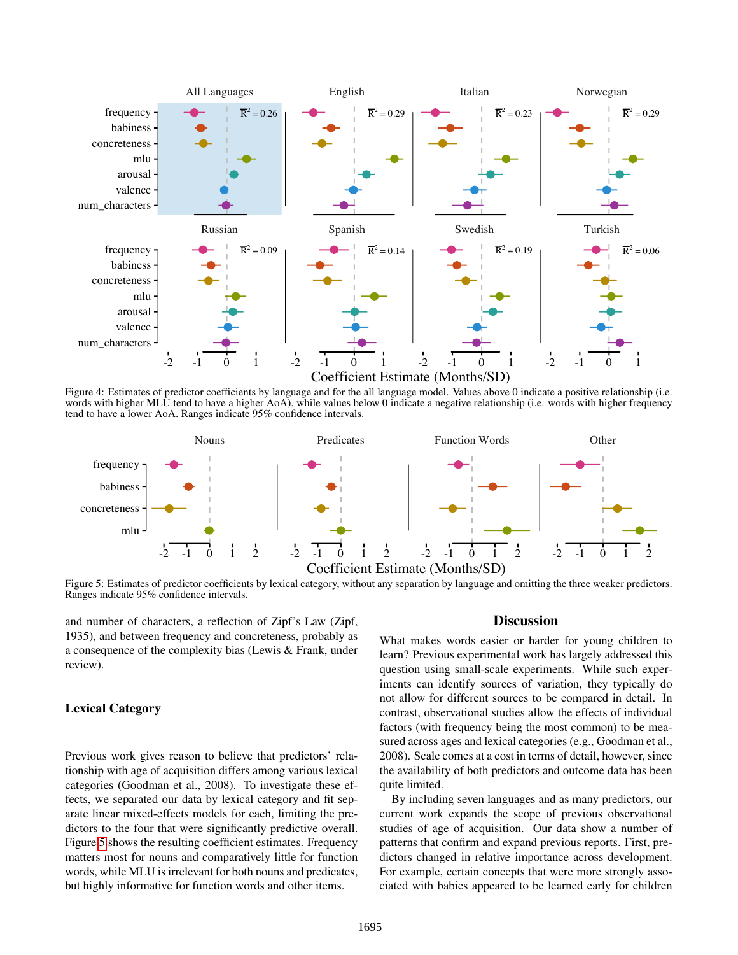<span id="page-4-0"></span>

Figure 4: Estimates of predictor coefficients by language and for the all language model. Values above 0 indicate a positive relationship (i.e. words with higher MLU tend to have a higher AoA), while values below 0 indicate a negative relationship (i.e. words with higher frequency tend to have a lower AoA. Ranges indicate 95% confidence intervals.

<span id="page-4-1"></span>

Figure 5: Estimates of predictor coefficients by lexical category, without any separation by language and omitting the three weaker predictors. Ranges indicate 95% confidence intervals.

and number of characters, a reflection of Zipf's Law (Zipf, 1935), and between frequency and concreteness, probably as a consequence of the complexity bias (Lewis & Frank, under review).

# Lexical Category

Previous work gives reason to believe that predictors' relationship with age of acquisition differs among various lexical categories (Goodman et al., 2008). To investigate these effects, we separated our data by lexical category and fit separate linear mixed-effects models for each, limiting the predictors to the four that were significantly predictive overall. Figure [5](#page-4-1) shows the resulting coefficient estimates. Frequency matters most for nouns and comparatively little for function words, while MLU is irrelevant for both nouns and predicates, but highly informative for function words and other items.

#### **Discussion**

What makes words easier or harder for young children to learn? Previous experimental work has largely addressed this question using small-scale experiments. While such experiments can identify sources of variation, they typically do not allow for different sources to be compared in detail. In contrast, observational studies allow the effects of individual factors (with frequency being the most common) to be measured across ages and lexical categories (e.g., Goodman et al., 2008). Scale comes at a cost in terms of detail, however, since the availability of both predictors and outcome data has been quite limited.

By including seven languages and as many predictors, our current work expands the scope of previous observational studies of age of acquisition. Our data show a number of patterns that confirm and expand previous reports. First, predictors changed in relative importance across development. For example, certain concepts that were more strongly associated with babies appeared to be learned early for children